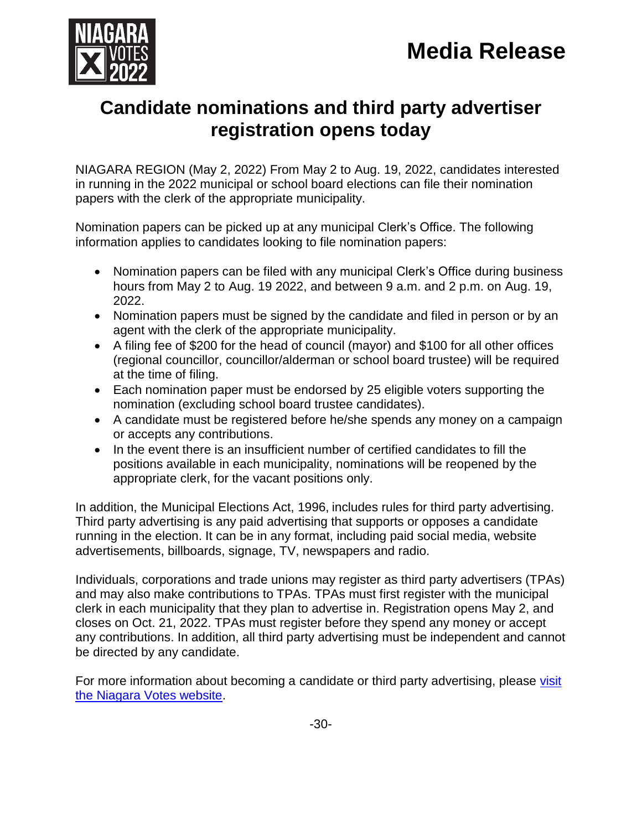

## **Candidate nominations and third party advertiser registration opens today**

NIAGARA REGION (May 2, 2022) From May 2 to Aug. 19, 2022, candidates interested in running in the 2022 municipal or school board elections can file their nomination papers with the clerk of the appropriate municipality.

Nomination papers can be picked up at any municipal Clerk's Office. The following information applies to candidates looking to file nomination papers:

- Nomination papers can be filed with any municipal Clerk's Office during business hours from May 2 to Aug. 19 2022, and between 9 a.m. and 2 p.m. on Aug. 19, 2022.
- Nomination papers must be signed by the candidate and filed in person or by an agent with the clerk of the appropriate municipality.
- A filing fee of \$200 for the head of council (mayor) and \$100 for all other offices (regional councillor, councillor/alderman or school board trustee) will be required at the time of filing.
- Each nomination paper must be endorsed by 25 eligible voters supporting the nomination (excluding school board trustee candidates).
- A candidate must be registered before he/she spends any money on a campaign or accepts any contributions.
- In the event there is an insufficient number of certified candidates to fill the positions available in each municipality, nominations will be reopened by the appropriate clerk, for the vacant positions only.

In addition, the Municipal Elections Act, 1996, includes rules for third party advertising. Third party advertising is any paid advertising that supports or opposes a candidate running in the election. It can be in any format, including paid social media, website advertisements, billboards, signage, TV, newspapers and radio.

Individuals, corporations and trade unions may register as third party advertisers (TPAs) and may also make contributions to TPAs. TPAs must first register with the municipal clerk in each municipality that they plan to advertise in. Registration opens May 2, and closes on Oct. 21, 2022. TPAs must register before they spend any money or accept any contributions. In addition, all third party advertising must be independent and cannot be directed by any candidate.

For more information about becoming a candidate or third party advertising, please [visit](http://www.niagaravotes.ca/) [the Niagara Votes website.](http://www.niagaravotes.ca/)